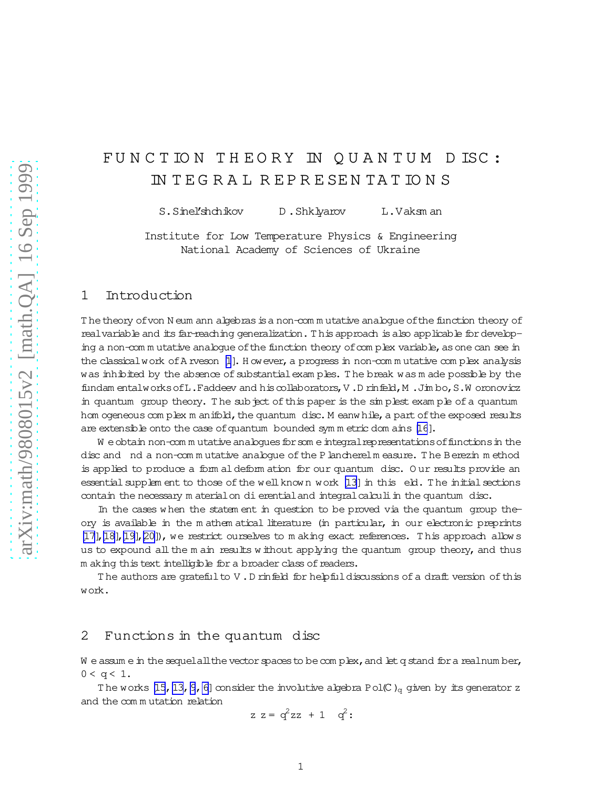# FUNCTION THEORY IN QUANTUM DISC: IN T E G R A L R E P R E SE N TA T IO N S

S.Sinel'shchikov D.Shklyarov L.Vaksm an

Institute for Low Temperature Physics & Engineering National Academy of Sciences of Ukraine

### 1 Introduction

The theory of von N eum ann algebras is a non-com m utative analogue of the function theory of realvariable and its far-reaching generalization. This approach is also applicable for developing a non-com m utative analogue of the function theory of complex variable, as one can see in the classical work of A rveson [\[1](#page-15-0)]. H owever, a progress in non-com m utative com plex analysis was inhibited by the absence of substantial exam ples. The break was m ade possible by the fundam entalworksofL.Faddeev and hiscollaborators,V .D rinfeld,M .Jim bo,S.W oronovicz in quantum group theory. The subject of this paper is the simplest example of a quantum hom ogeneous com plex m anifold, the quantum disc. M eanw hile, a part of the exposed results are extensible onto the case of quantum bounded symm etric dom ains [\[16](#page-16-0)].

W e obtain non-com m utative analogues for som e integral representations of functions in the disc and nd a non-commutative analogue of the Plancherelm easure. The Berezin method is applied to produce a form aldeform ation for our quantum disc. O ur results provide an essentialsupplem ent to those of the well known work [\[13\]](#page-15-0) in this eld. The initialsections contain the necessary m aterialon di erential and integral calculi in the quantum disc.

In the cases w hen the statem ent in question to be proved via the quantum group theory is available in the m athem atical literature (in particular, in our electronic preprints [\[17\],\[18\],\[19\],\[20\]](#page-16-0)), we restrict ourselves to m aking exact references. T his approach allow s us to expound all the m ain results w ithout applying the quantum group theory, and thus m aking this text intelligible for a broader class of readers.

The authors are grateful to V.D rinfeld for helpful discussions of a draft version of this work.

#### 2 Functions in the quantum disc

W e assum e in the sequelall the vector spaces to be complex, and let q stand for a realnum ber,  $0 < q < 1$ .

The works [\[15,](#page-16-0) 13, 9, [6\]](#page-15-0) consider the involutive algebra Pol(C)<sub>q</sub> given by its generator z and the com m utation relation

$$
z z = q^2 z z + 1 \quad q^2:
$$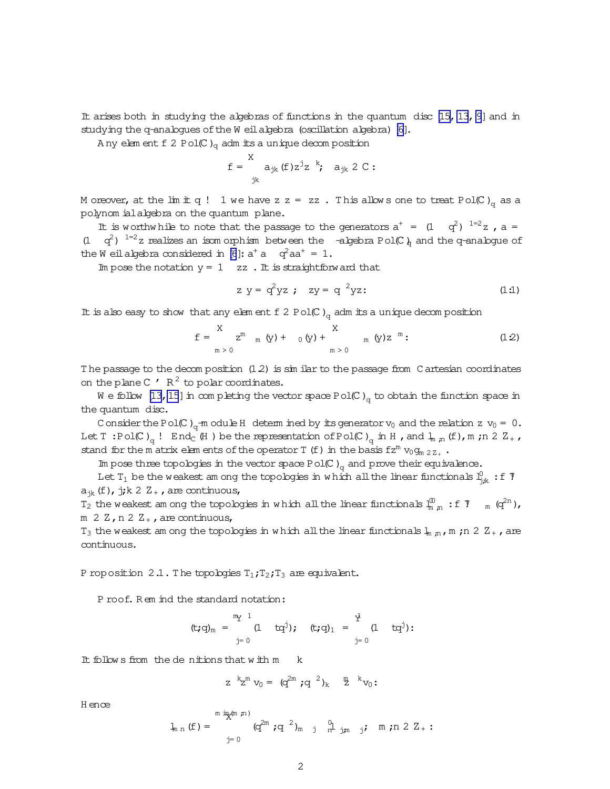It arises both in studying the algebras of functions in the quantum disc  $[15, 13, 9]$  $[15, 13, 9]$  $[15, 13, 9]$  $[15, 13, 9]$  $[15, 13, 9]$  and in studying the q-analogues of the W eil algebra (oscillation algebra) [\[6\]](#page-15-0).

A ny elem ent f 2 Pol(C)<sub>q</sub> adm its a unique decom position

$$
f = \n\begin{cases}\nX & \text{if } x^j z^k; \\
x^j y & \text{if } x^j z^k.\n\end{cases}
$$

M oreover, at the lim it q ! 1 we have z z = zz. This allows one to treat Pol(C)<sub>q</sub> as a polynom ialalgebra on the quantum plane.

It is worthwhile to note that the passage to the generators  $a^+ = (1 \ q^2)^{-1=2} z$ ,  $a =$ (1 q<sup>2</sup>) <sup>1=2</sup>z realizes an isom orphism between the -algebra Pol(C)<sub>q</sub> and the q-analogue of the W eilalgebra considered in [\[6](#page-15-0)]:  $a^+$  a  $q^2$ a $a^+$  = 1.

Im pose the notation  $y = 1$  zz. It is straightforward that

$$
z y = q^2 yz
$$
;  $zy = q^2 yz$ : (1.1)

It is also easy to show that any elem ent f 2 Pol(C)<sub>q</sub> adm its a unique decom position

$$
f = \begin{cases} \nX & \text{if } x \in \mathbb{R}^m \\ \n\text{if } x & \text{if } x \in \mathbb{R}^m \text{ and } y \in \mathbb{R}^m \text{ and } y \in \mathbb{R}^m \text{ and } y \in \mathbb{R}^m \text{ and } y \in \mathbb{R}^m \text{ and } y \in \mathbb{R}^m \text{ and } y \in \mathbb{R}^m \text{ and } y \in \mathbb{R}^m \text{ and } y \in \mathbb{R}^m \text{ and } y \in \mathbb{R}^m \text{ and } y \in \mathbb{R}^m \text{ and } y \in \mathbb{R}^m \text{ and } y \in \mathbb{R}^m \text{ and } y \in \mathbb{R}^m \text{ and } y \in \mathbb{R}^m \text{ and } y \in \mathbb{R}^m \text{ and } y \in \mathbb{R}^m \text{ and } y \in \mathbb{R}^m \text{ and } y \in \mathbb{R}^m \text{ and } y \in \mathbb{R}^m \text{ and } y \in \mathbb{R}^m \text{ and } y \in \mathbb{R}^m \text{ and } y \in \mathbb{R}^m \text{ and } y \in \mathbb{R}^m \text{ and } y \in \mathbb{R}^m \text{ and } y \in \mathbb{R}^m \text{ and } y \in \mathbb{R}^m \text{ and } y \in \mathbb{R}^m \text{ and } y \in \mathbb{R}^m \text{ and } y \in \mathbb{R}^m \text{ and } y \in \mathbb{R}^m \text{ and } y \in \mathbb{R}^m \text{ and } y \in \mathbb{R}^m \text{ and } y \in \mathbb{R}^m \text{ and } y \in \mathbb{R}^m \text{ and } y \in \mathbb{R}^m \text{ and } y \in \mathbb{R}^m \text{ and } y \in \mathbb{R}^m \text{ and } y \in \mathbb{R}^m \text{ and } y \in \mathbb{R}^m \text{ and } y \in \mathbb{R}^m \text{ and } y \in \mathbb{R}^m \text{ and } y \in \mathbb{R}^m \text{ and } y \in \mathbb{R}^m \text{ and } y \in \mathbb{R}^m \text
$$

The passage to the decom position  $(1.2)$  is similar to the passage from C artesian coordinates on the plane C  $'$  R<sup>2</sup> to polar coordinates.

W e follow [\[13](#page-15-0)[,15](#page-16-0)] in completing the vector space Pol(C)<sub>q</sub> to obtain the function space in the quantum disc.

C onsider the Pol(C)<sub>q</sub>-m odule H determ ined by its generator  $v_0$  and the relation z  $v_0 = 0$ . Let T:Pol(C)<sub>q</sub>! End<sub>C</sub>(H) be the representation of Pol(C)<sub>q</sub> in H, and  $l_{m,n}$ (f), m;n 2 Z<sub>+</sub>, stand for the m atrix elem ents of the operator T (f) in the basis  $fz^{m}$  v<sub>0</sub>g<sub>m 2Z+</sub>.

Im pose three topologies in the vector space Pol(C)<sub>q</sub> and prove their equivalence.

Let  $T_1$  be the weakest am ong the topologies in which all the linear functionals  $l_{jk}^0$  : f  $\bar{\gamma}$  $a_{jk}(f)$ , j;k 2  $Z_+$ , are continuous,

 $T_2$  the weakest am ong the topologies in which all the linear functionals  $\frac{10}{m}$  m : f  $\frac{7}{m}$  m (q<sup>2n</sup>), m  $2 \text{ Z}$ , n  $2 \text{ Z}_{+}$ , are continuous,

T<sub>3</sub> the weakest am ong the topologies in which all the linear functionals  $l_{\rm m,n}$ ,m ;n 2 Z<sub>+</sub>, are continuous.

P roposition 2.1. The topologies  $T_1$ ;  $T_2$ ;  $T_3$  are equivalent.

P roof. R em ind the standard notation:

$$
(\mathsf{t};q)_{m} = \begin{matrix} m_{Y} & 1 \\ & (1 & \mathsf{t}q^j); \\ & \mathsf{t} \mathsf{t}q^j, \end{matrix} \quad (\mathsf{t};q)_{1} = \begin{matrix} \mathsf{t} \\ & (1 & \mathsf{t}q^j): \\ & \mathsf{t} \mathsf{t} \end{matrix}
$$

It follows from the denitions that  $w$  ith  $m$  k

$$
z^{k}z^{m} v_{0} = (q^{2m} q^{2})_{k} \stackrel{m}{2}^{k} v_{0}
$$
:

H ence

$$
\mathbf{1}_{m n} (f) = \int_{j=0}^{m \text{ in } \mathbb{R}^{(m,n)}} (q^{2m} ; q^{-2})_{m \text{ j}} \frac{q}{n} \lim_{j \neq m} j ; \text{ m ; } n \text{ 2 } \mathbb{Z}_{+} :
$$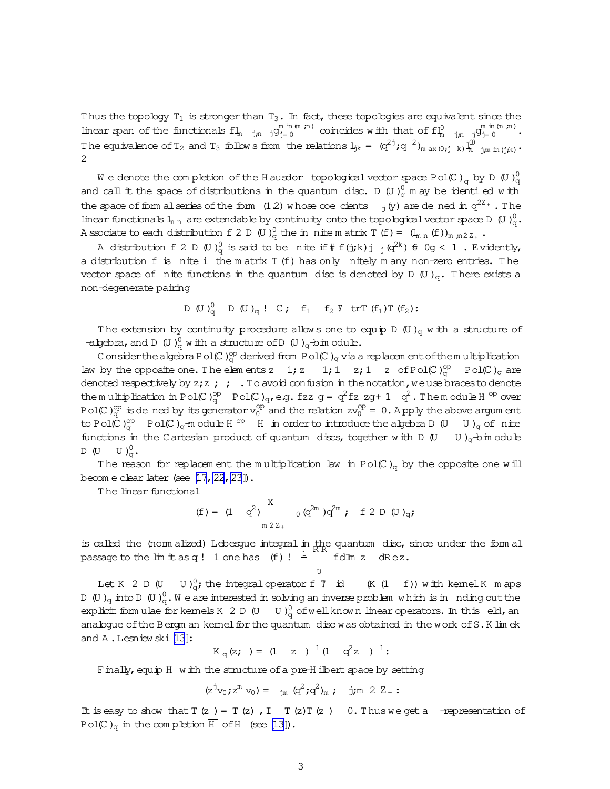Thus the topology  $T_1$  is stronger than  $T_3$ . In fact, these topologies are equivalent since the linear span of the functionals  $f_{m-jn}$  jg<sub>j=0</sub>  $\infty$  incides with that of  $f_{m-jn}^0$  jg<sub>j=0</sub>  $\infty$ <sup>m in (m n)</sup>. The equivalence of  $T_2$  and  $T_3$  follows from the relations  $l_{jk} = (q^2)^j q^{-2} l_{max(0;j)}$  (i)  $\frac{1}{k}$ <sub>l</sub>W<br>k j;m in(j;k) \* 2

We denote the completion of the Hausdor topological vector space Pol(C)  $_{\mathrm{q}}$  by D (U) $_{\mathrm{q}}^{0}$ q and call it the space of distributions in the quantum disc. D  $(0)_{q}^{0}$  m ay be identi ed with the space of form alseries of the form  $(1.2)$  whose coe cients  $\frac{1}{j}(y)$  are de ned in  $q^{2Z_{+}}$ . The linear functionals  $l_{m,n}$  are extendable by continuity onto the topological vector space D (U) $_{q}^{0}$ . A ssociate to each distribution f 2 D (U)<sub>q</sub> the in nite m atrix T (f) =  $(l_{m n} (f))_{m n 2 Z_{+}}$ .

A distribution f 2 D (U) $_{q}^{0}$  is said to be nite if # f(j;k)j  $_{j}(q^{2k})$   $\in$  0g < 1 . Evidently, a distribution f is nite i the m atrix T(f) has only nitely m any non-zero entries. T he vector space of nite functions in the quantum disc is denoted by D  $(U)_{q}$ . There exists a non-degenerate pairing

D (U) 
$$
_{q}^{0}
$$
 D (U)  $_{q}$  ! C; f<sub>1</sub> f<sub>2</sub> T trT (f<sub>1</sub>)T (f<sub>2</sub>):

The extension by continuity procedure allows one to equip D (U)<sub>q</sub> w ith a structure of -algebra, and D  $(U)_{q}^{0}$  with a structure of D  $(U)_{q}$ -bim odule.

C onsider the algebra Pol(C) $_{\rm q}^{\rm op}$  derived from Pol(C) $_{\rm q}$  via a replacem ent of the multiplication law by the opposite one. The elements z  $1; z$   $1; \overline{1}$   $z; \overline{1}$   $z; \overline{1}$   $z$  of Pol(C)<sub>q</sub> Pol(C)<sub>q</sub> are denoted respectively by  $z;z;$ ; . To avoid confusion in the notation, we use braces to denote the multiplication in Pol(C)<sub>q</sub>, Pol(C)<sub>q</sub>,eg.fzz g =  $q^2$  fz zg + 1  $q^2$ . The module H<sup>op</sup> over Pol(C) $_q^{\text{op}}$  is de ned by its generator  $v_0^{\text{op}}$  and the relation  $zv_0^{\text{op}} = 0$ . Apply the above argum ent to Pol(C)<sub>q</sub> Pol(C)<sub>q</sub>-m odule H<sup>op</sup> H in order to introduce the algebra D (U U)<sub>q</sub> of nite functions in the C artesian product of quantum discs, together with D  $(U \cup U)_q$ -bim odule  $D (U U)^0$ <sub>q</sub>.

The reason for replacem ent the multiplication law in Pol(C)<sub>q</sub> by the opposite one will becom e clear later (see  $[17, 22, 23]$  $[17, 22, 23]$ ).

T he linear functional

$$
(f) = (1 \t q^2) \int_{m \, 2Z_+}^{X} \t o(q^{2m}) q^{2m} ; f 2 D (U)_{q};
$$

is called the (norm alized) Lebesgue integral in the quantum disc, since under the form all passage to the  $\text{Im}\;\mathbb{t}$  as  $\text{q}$  !  $1$  one has  $\hspace{0.1cm}$  (f) !  $\hspace{0.1cm}^{\frac{1}{\alpha}}$ fdIm z dR ez.

U

Let K 2 D (U U) $_0^0$  $(K(I-f))$  with kernel K m aps D (U)<sub>q</sub> into D (U)<sup>0</sup><sub>q</sub>. We are interested in solving an inverse problem which is in nding out the explicit formulae for kernels K 2 D (U  $\,$  U ) $_{\rm q}^0$  of well known linear operators. In this eld, an analogue of the Bergm an kernel for the quantum disc was obtained in the work of S.K lim ek and A. Lesniew ski [\[13](#page-15-0)]:

$$
K_q(z; ) = (1 \ z )^{1} (1 \ q^{2} z )^{1}
$$
:

Finally, equip H with the structure of a pre-Hilbert space by setting

$$
(z^jv_0; z^m v_0) = \t_{jm} (q^2; q^2)_m ; \t j;m 2 Z_+ :
$$

It is easy to show that  $T(z) = T(z)$ ,  $I = T(z)T(z)$  0. Thus we get a -representation of Pol(C)<sub>q</sub> in the completion H of H (see [\[13\]](#page-15-0)).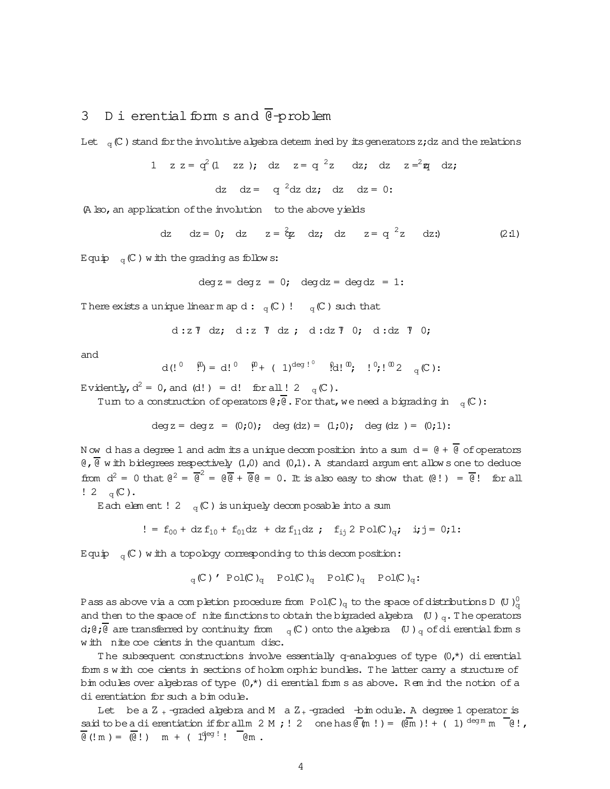## 3 D i erential form s and  $\overline{\Theta}$ -problem

Let  $\mathcal{L}_{\text{q}}(\mathbb{C})$  stand for the involutive algebra determ ined by its generators z;dz and the relations

1 
$$
z z = q^2 (1 zz)
$$
; dz  $z = q^2 z dz$ ; dz  $z = z^2 z dz$ ; dz  $dz = q^2 dz dz$ ; dz  $dz = 0$ :

(A lso, an application of the involution to the above yields

dz dz = 0; dz z = 
$$
\frac{2}{3}z
$$
 dz; dz z = q<sup>2</sup>z dz; (2:1)

Equip  $_{\rm q}$  (C) with the grading as follows:

$$
deg z = deg z = 0;
$$
  $deg dz = deg dz = 1:$ 

There exists a unique linearm ap d:  $_q$  (C)!  $_q$  (C) such that

$$
d:z \tT dz; d:z \tT dz; d:dz \tT 0; d:dz \tT 0;
$$

and

$$
d\,(!\begin{array}{ccccc}1&0&0\\0&0&0\end{array})\,=\,d\,!\begin{array}{ccccc}1&0&0\\0&0&0\end{array}\,,\quad d\,!\begin{array}{ccccc}1&0&0\\0&0&0\end{array}\,,\quad d\,!\begin{array}{ccccc}0&0&0\\0&0&0\end{array}\,,
$$

Evidently,  $d^2 = 0$ , and (d!) = d! for all ! 2  $_q(\mathbb{C})$ .

Turn to a construction of operators  $\theta$ ;  $\overline{\theta}$ . For that, we need a bigrading in  $_q$  (C):

$$
deg z = deg z = (0;0); deg (dz) = (1;0); deg (dz) = (0;1);
$$

N ow d has a degree 1 and adm its a unique decomposition into a sum  $d = \theta + \overline{\theta}$  of operators  $\theta$ ,  $\overline{\theta}$  w ith bidegrees respectively (1,0) and (0,1). A standard argum ent allow s one to deduce from  $d^2 = 0$  that  $e^2 = \overline{e}^2 = e\overline{e} + \overline{e}e = 0$ . It is also easy to show that  $(e!) = \overline{e}!$  for all  $! 2 \quad \text{q}(\mathbb{C}).$ 

Each elem ent ! 2  $_q$  (C) is uniquely decom posable into a sum

$$
! = f_{00} + dz f_{10} + f_{01} dz + dz f_{11} dz ; f_{1j} 2 Pol(C)_{q}; ij = 0;1;
$$

Equip  $_{\mathrm{q}}(\mathbb{C})$  with a topology corresponding to this decomposition:

$$
q(C)'
$$
 Pol(C)<sub>q</sub> Pol(C)<sub>q</sub> Pol(C)<sub>q</sub> Pol(C)<sub>q</sub> Pol(C)<sub>q</sub>:

Pass as above via a completion procedure from Pol(C) $_{\rm q}$  to the space of distributions D (U ) $_{\rm q}^0$ q and then to the space of nite functions to obtain the bigraded algebra  $\left(\mathbb{U}\right)$ <sub>q</sub>. The operators d;  $\theta$ ;  $\overline{\theta}$  are transferred by continuity from  $\alpha_q(C)$  onto the algebra  $\overline{U}$  )  $\overline{q}$  of dierential form s with nite coe cients in the quantum disc.

The subsequent constructions involve essentially q-analogues of type  $(0,*)$  dierential form s w ith coecients in sections of holom orphic bundles. The latter carry a structure of bim odules over algebras of type  $(0,*)$  dierential form s as above. R em ind the notion of a dierentiation for such a bim odule.

Let be a  $Z$  <sub>+</sub> -graded algebra and M  $\,$  a  $Z$  <sub>+</sub> -graded  $\,$  -bim odule. A degree 1 operator is said to be a dierentiation if for all m 2 M ; ! 2 one has  $\overline{\mathbb{Q}}$  (m !) =  $(\overline{\mathbb{Q}}$ m )! + (1)  $\overline{\text{degm}}$  m  $\overline{\mathbb{Q}}$ !,  $\overline{\Theta}$  (! m ) =  $\overline{\Theta}$  !) m + (  $1\overline{\Theta}$   $\overline{\Theta}$  !  $\overline{\Theta}$  m.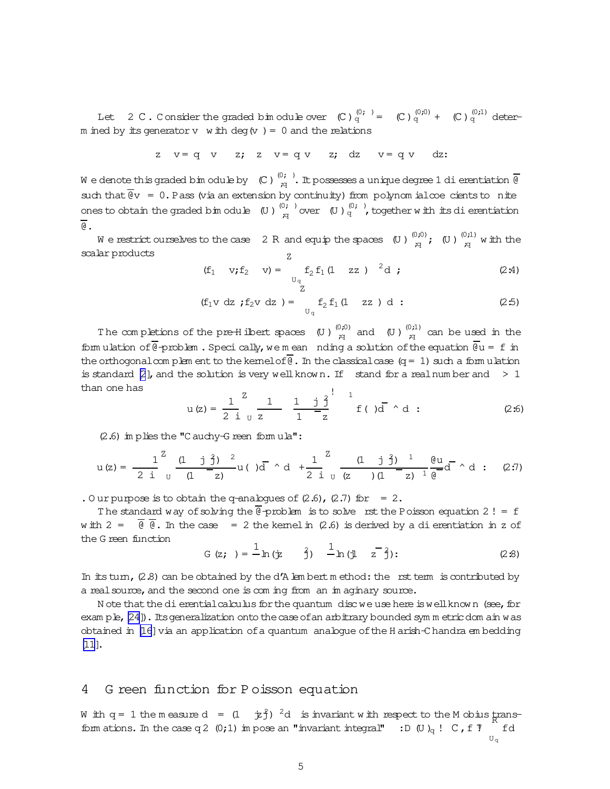Let 2 C . Consider the graded bim odule over  $(C)_{q}^{(0;)} = (C)_{q}^{(0;0)} + (C)_{q}^{(0;1)}$  determ ined by its generator  $v$  w ith deg  $(v) = 0$  and the relations

$$
z \quad v = q \quad v \quad z; \quad z \quad v = q \quad v \quad z; \quad dz \quad v = q \quad v \quad dz;
$$

We denote this graded bimodule by  $\|C\|_{\mathcal{A}}^{(0)}$  . It possesses a unique degree 1 dierentiation  $\overline{\emptyset}$ such that  $\overline{\mathbb{Q}}v = 0$ . Pass (via an extension by continuity) from polynom ialcoe cients to nite ones to obtain the graded bim odule (U)  $\frac{(0;)}{n}$  $\begin{pmatrix} 0 & \cdots & \cdots & 0 \\ \cdots & \cdots & \cdots & \cdots & 0 \\ \cdots & \cdots & \cdots & \cdots & \cdots \end{pmatrix}$  together w ith its dierentiation  $\overline{a}$ .

We restrict ourselves to the case  $-2$  R and equip the spaces  $\left(\mathbb{U}\right)_{\mathbb{U}}^{(0;0)}$  $\mathop{\mathrm{gr}}\limits_{\mathop{\mathrm{pr}}\nolimits}^{(1,0)}$  ( U)  $\mathop{\mathrm{gr}}\limits_{\mathop{\mathrm{pr}}\nolimits}^{(0,1)}$  $\lim_{q \to 0}$  with the scalar products Z

(f<sub>1</sub> v; f<sub>2</sub> v) = 
$$
f_2 f_1 (1 zz)^2 d
$$
; (2.4)

$$
(f_1 v \, dz \; ; f_2 v \, dz \; ) = \; f_2 f_1 (1 \; zz \; ) \; d \; : \tag{2.5}
$$

The completions of the pre-Hilbert spaces  $\,$  (U )  $_{\mathcal{A}}^{(0;0)}$  and  $\,$  (U )  $_{\mathcal{A}}^{(0;1)}$  can be used in the form ulation of  $\overline{e}$ -problem. Specically, we mean nding a solution of the equation  $\overline{e}u = f$  in the orthogonalcom plem ent to the kernel of  $\overline{\mathbb{Q}}$ . In the classical case (q = 1) such a form ulation is standard  $[2]$ , and the solution is very well known. If stand for a realnum ber and  $\geq 1$ than one has

$$
u(z) = \frac{1}{2} \int_{0}^{z} \frac{1}{z} \frac{1}{1} \frac{1}{z} \int_{0}^{z} \frac{1}{1-z} \int_{0}^{z} f(\zeta) d\zeta d\zeta
$$
 (2.6)

(2.6) im plies the "C auchy-G reen form ula":

$$
u(z) = \frac{1}{2i} \int_{0}^{z} \frac{(1 - j \hat{j})^{2}}{(1 - z)} u(j) \overline{d} + \frac{1}{2i} \int_{0}^{z} \frac{(1 - j \hat{j})^{1}}{(z - j)(1 - z)^{1}} \frac{du}{e} d \overline{d} + d \quad ; \quad (2:7)
$$

. Our purpose is to obtain the q-analogues of  $(2.6)$ ,  $(2.7)$  for = 2.

The standard way of solving the  $e^{\frac{1}{2}}$ -problem is to solve rst the Poisson equation 2! = f w ith  $2 = \overline{0}$   $\overline{0}$ . In the case = 2 the kemel in (2.6) is derived by a dierentiation in z of the G reen function

$$
G(z; ) = \frac{1}{\pi} \ln(\frac{z}{z}) - \frac{1}{\pi} \ln(\frac{z}{z})
$$
 (2.8)

In its turn,  $(2.8)$  can be obtained by the d'A lem bert m ethod: the rst term is contributed by a realsource, and the second one is com ing from an im aginary source.

N ote that the dierential calculus for the quantum disc we use here is well known (see, for exam ple, [\[24\]](#page-16-0)). Its generalization onto the case of an arbitrary bounded sym m etric dom ain was obtained in [\[16](#page-16-0)]via an application ofa quantum analogue ofthe H arish-C handra em bedding [\[11\]](#page-15-0).

#### 4 G reen function for P oisson equation

W ith  $q = 1$  the measure  $d = (1 + \dot{y}^2)^2 d$  is invariant with respect to the M obius transform ations. In the case q 2  $(0;1)$  im pose an "invariant integral" : D  $(U)_{q}$  ! C, f  $T$  if d U<sup>q</sup>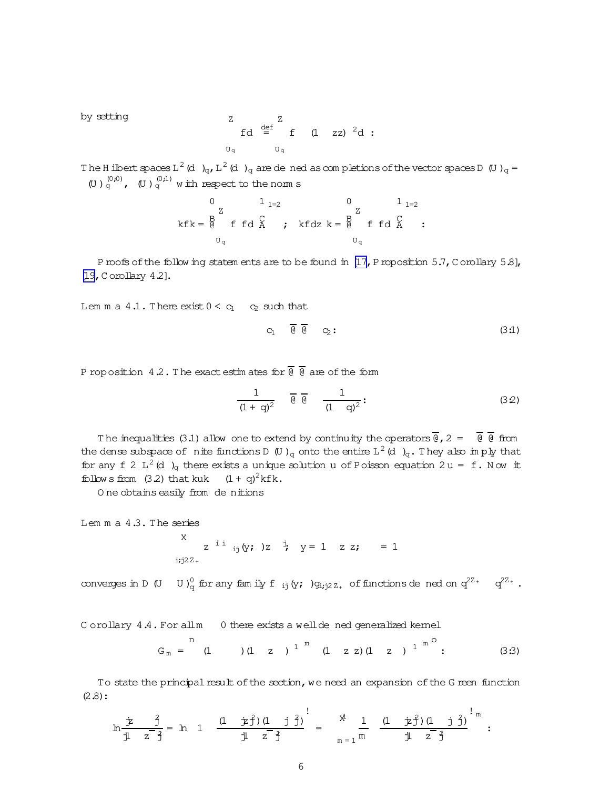by setting Z U<sup>q</sup> fd def = Z U<sup>q</sup> f (1 zz) <sup>2</sup>d:

The H ilbertspaces L  $^2$  (d)  $_{\rm q}$ , L  $^2$  (d)  $_{\rm q}$  are dened as completions of the vectorspaces D (U )  $_{\rm q}$  = (U )  $_q^{(0,0)}$ , (U )  $_q^{(0,1)}$  with respect to the norm s

$$
0 \t 1_{1=2} \t 0 \t 1_{1=2}
$$
  
\n
$$
kfk = \begin{bmatrix} B & C \\ C & D \\ C & D \\ C \end{bmatrix}; kfdz = \begin{bmatrix} B & C \\ C & D \\ C & D \\ C \end{bmatrix}; kfdz = \begin{bmatrix} 1 \\ C \\ C \\ C \end{bmatrix}; kfdz = \begin{bmatrix} 1 \\ 1 \\ 0 \\ C \end{bmatrix}; kfdz = \begin{bmatrix} 1 \\ 0 \\ 0 \\ C \end{bmatrix}; kfdz = \begin{bmatrix} 1 \\ 0 \\ 0 \\ 0 \\ C \end{bmatrix}; kfdz = \begin{bmatrix} 1 \\ 0 \\ 0 \\ C \end{bmatrix}; kfdz = \begin{bmatrix} 1 \\ 0 \\ 0 \\ C \end{bmatrix}; kfdz = \begin{bmatrix} 1 \\ 0 \\ 0 \\ 0 \\ C \end{bmatrix}; kfdz = \begin{bmatrix} 1 \\ 0 \\ 0 \\ 0 \\ C \end{bmatrix}; kfdz = \begin{bmatrix} 1 \\ 0 \\ 0 \\ 0 \\ C \end{bmatrix}; kfdz = \begin{bmatrix} 1 \\ 0 \\ 0 \\ 0 \\ C \end{bmatrix}; kfdz = \begin{bmatrix} 1 \\ 0 \\ 0 \\ 0 \\ C \end{bmatrix}; kfdz = \begin{bmatrix} 1 \\ 0 \\ 0 \\ 0 \\ C \end{bmatrix}; kfdz = \begin{bmatrix} 1 \\ 0 \\ 0 \\ 0 \\ C \end{bmatrix}; kfdz = \begin{bmatrix} 1 \\ 0 \\ 0 \\ 0 \\ C \end{bmatrix}; kfdz = \begin{bmatrix} 1 \\ 0 \\ 0 \\ 0 \\ C \end{bmatrix}; kfdz = \begin{bmatrix} 1 \\ 0 \\ 0 \\ 0 \\ C \end{bmatrix}; kfdz = \begin{bmatrix} 1 \\ 0 \\ 0 \\ 0 \\ C \end{bmatrix}; kfdz = \begin{bmatrix} 1 \\ 0 \\ 0 \\ 0 \\ C \end{bmatrix}; kfdz = \begin{bmatrix} 1 \\ 0 \\ 0 \\ 0 \\ C \end{bmatrix}; kfdz = \begin{bmatrix} 1 \\ 0 \\ 0 \\ 0 \\ C \end{bmatrix}; kfdz = \begin{bmatrix} 1 \\ 0 \\ 0 \\ 0 \\ C \end{bmatrix}; kfdz = \begin{bmatrix} 1 \\ 0 \\ 0 \\ 0 \\ C \end{bmatrix}; kfdz = \begin{bmatrix} 1 \\ 0 \\ 0 \\ 0 \\ C \end{bmatrix}; kfdz = \begin{bmatrix} 1 \\ 0 \\ 0
$$

Proofs of the follow ing statem ents are to be found in [\[17,](#page-16-0) Proposition 5.7, C orollary 5.8], [\[19,](#page-16-0)C orollary 4.2].

Lem m a  $4.1$ . There exist  $0 < c_1$  c<sub>2</sub> such that

$$
C_1 \qquad \overline{\theta} \quad \overline{\theta} \qquad C_2:
$$
 (3.1)

P roposition 4.2. The exact estimates for  $\frac{1}{\theta}$  are of the form

$$
\frac{1}{(1+q)^2} \quad \overline{\theta} \quad \overline{\theta} \quad \frac{1}{(1-q)^2}:
$$
 (3.2)

The inequalities (3.1) allow one to extend by continuity the operators  $\frac{1}{\theta}$ , 2 =  $\frac{1}{\theta}$   $\frac{1}{\theta}$  from the dense subspace of  $\,$  nite functions D  $\,$  (U ) $_{\rm q}$  onto the entire  $\rm L^2$  (d  $\,$  ) $_{\rm q}$ . They also imply that for any f 2 L<sup>2</sup> (d)<sub>q</sub> there exists a unique solution u of Poisson equation 2 u = f. Now it follow s from  $(3.2)$  that kuk  $(1 + q)^2 k f k$ .

O ne obtains easily from de nitions

Lemma a 4.3. The series

\n
$$
\begin{array}{ccc}\nX & z^{i} & \text{if } (y; )z & \dot{y} & y = 1 \quad z \ z; \quad = 1 \\
\text{if } (z, z) & z & \dot{y} & z\n\end{array}
$$

converges in D  $(U-U)_q^0$  for any family  $f_{ij}(y;)g_{ij;2Z_+}$  of functions de ned on  $q^{2Z_+} - q^{2Z_+}$ .

C orollary 4.4. For all m 0 there exists a well de ned generalized kernel

$$
G_m = {n \atop (1)} (1 \ z ) {1 \atop (1)} {n \atop (1)} (1 \ z 2) (1 \ z ) {1 \atop (1)} {n \atop (1)} (3 \cdot 3)
$$

To state the principal result of the section, we need an expansion of the G reen function (2.8):

$$
\ln \frac{\dot{\mathcal{F}}}{\dot{\mathbb{J}} \quad z \quad \frac{\dot{\mathcal{J}}}{\dot{\mathcal{J}}}} = \ln \quad 1 \quad \frac{(1 - \dot{\mathcal{F}} \dot{\mathcal{J}}) (1 - \dot{\mathcal{J}} \quad \dot{\mathcal{J}})}{\dot{\mathbb{J}} \quad z \quad \frac{\dot{\mathcal{J}}}{\dot{\mathcal{J}}}} = \quad \frac{x^{\frac{1}{4}}}{x - 1} \quad \frac{(1 - \dot{\mathcal{F}} \dot{\mathcal{J}}) (1 - \dot{\mathcal{J}} \quad \dot{\mathcal{J}})}{\dot{\mathbb{J}} \quad z \quad \frac{\dot{\mathcal{J}}}{\dot{\mathcal{J}}}} \quad \vdots
$$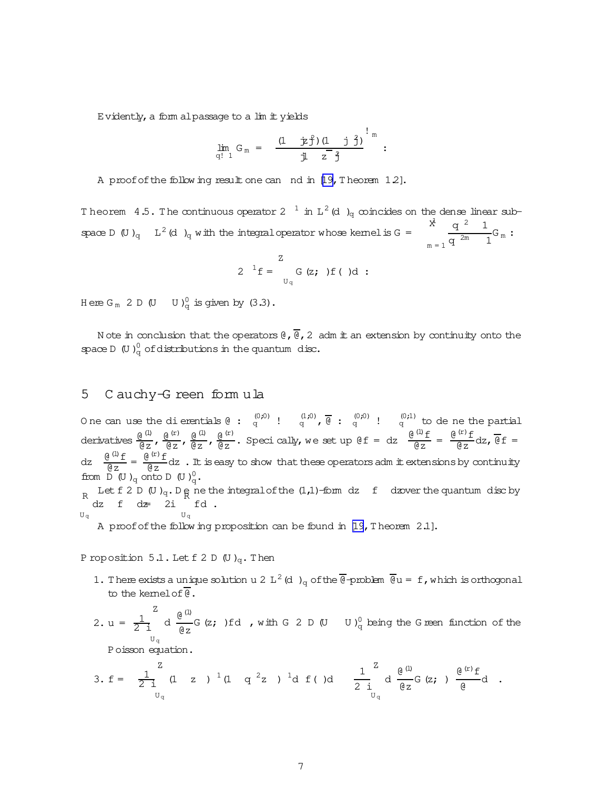Evidently, a form alpassage to a lim it yields

$$
\lim_{q! \ 1} G_m = \frac{(1 + \dot{p}f)(1 + \dot{j}f)^2}{\dot{y}^2} \sum_{i=1}^{n} g_i
$$

A proof of the follow ing result one can nd in [\[19,](#page-16-0) Theorem 12].

Theorem 4.5. The continuous operator 2  $^{-1}$  in L<sup>2</sup> (d)<sub>q</sub> coincides on the dense linear subspace D (U)<sub>q</sub> L<sup>2</sup> (d)<sub>q</sub> with the integral operator whose kernelis G = 1X  $m = 1$ q  $2$  1  $\frac{q}{q^{\frac{2m}{m}}-1}G_m$ :

$$
2 \t 1f = \int_{U_q}^{Z} G(z; ) f( )d :
$$

Here  $G_m$  2 D  $(U \cup U)_q^0$  is given by  $(3.3)$ .

N ote in conclusion that the operators  $\mathcal{C}_r$ ,  $\overline{\mathcal{C}}_r$  adm it an extension by continuity onto the space D (U)<sup>0</sup> of distributions in the quantum disc.

### 5 C auchy-G reen form ula

One can use the dierentials (e):  $\frac{(0,0)}{q}$  !  $\frac{(1,0)}{q}$ ,  $\overline{\theta}$  :  $\frac{(0,0)}{q}$  !  $\frac{(0,1)}{q}$  to de ne the partial derivatives  $\frac{\theta^{(1)}}{\theta z}$ ,  $\frac{\theta^{(r)}}{\theta z}$ ,  $\frac{\theta^{(1)}}{\theta z}$ ,  $\frac{\theta^{(r)}}{\theta z}$ . Speci cally, we set up  $\theta f = dz$   $\frac{\theta^{(1)}f}{\theta z} = \frac{\theta^{(r)}f}{\theta z}dz$ ,  $\overline{\theta}f =$  $dz \quad \frac{\theta^{(1)} f}{\theta z} = \frac{\theta^{(r)} f}{\theta z} dz$  . It is easy to show that these operators adm it extensions by continuity from  $D(U)_q$  onto  $D(U)_q^0$ . R Let f 2 D (U )<sub>q</sub>. D <sub>R</sub> ne the integral of the (1,1)-form dz f dzover the quantum disc by  $U_q$  $dz$  f  $dz = 2i$  fd.  $U_{\alpha}$ A proofofthe follow ing proposition can be found in [\[19](#page-16-0),T heorem 2.1].

P roposition 5.1. Let  $f$  2 D (U )<sub>q</sub>. Then

- 1. There exists a unique solution u 2 L<sup>2</sup> (d)<sub>q</sub> of the @-problem  $\frac{1}{\theta}u = f$ , which is orthogonal to the kernelof@.
- 2. u =  $\frac{1}{2}$ 2i Z U<sup>q</sup> d  $\frac{\theta^{(1)}}{2}$  $\frac{g}{g}$  G (z; ) fd , with G 2 D (U U ) $\frac{0}{q}$  being the G reen function of the

Poisson equation.

3. 
$$
f = \frac{1}{2i} (1 z)^{1} (1 q^{2} z)^{1} d f (d \frac{1}{2i} d \frac{e^{(1)}}{e^{2}} G(z; \frac{e^{(r)} f}{e}) d
$$
.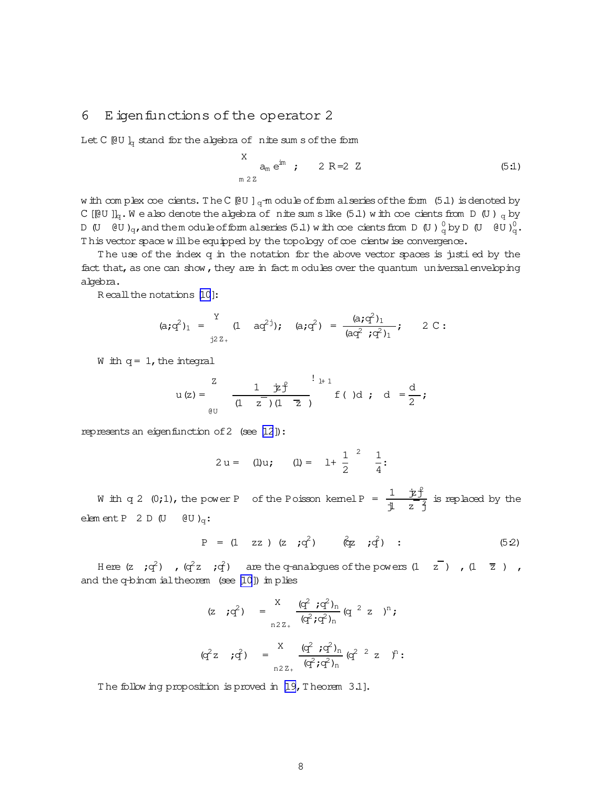#### 6 E igen functions of the operator 2

Let C  $[QU]_q$  stand for the algebra of nite sum s of the form

$$
X \n am eim ; 2 R=2 Z
$$
\n(5.1)

w ith com plex coe cients. The C[@U]<sub>q</sub>-m odule of form alseries of the form (5.1) is denoted by C [[CU ]]<sub>q</sub>.W e also denote the algebra of nite sum slike (5.1) with coe cients from D (U) <sub>q</sub> by D (U  $\vec{v}$  O  $\vec{v}$ )<sub>q</sub>, and them odule of form alseries (5.1) with coe cients from D (U)  $\frac{0}{q}$  by D (U  $\vec{v}$  O  $\vec{v}$ . This vector space w ill be equipped by the topology of coe cientw ise convergence.

The use of the index q in the notation for the above vector spaces is justi ed by the fact that, as one can show, they are in fact m odules over the quantum universal enveloping algebra.

R ecall the notations [\[10](#page-15-0)]:

$$
(a;q^2)_1 = \n\begin{cases}\n\text{if } a;q^2 \text{ is } a; q^2 = \frac{(a;q^2)_1}{(aq^2;q^2)_1}; \\
\text{if } a;q^2 = \frac{(a;q^2)_1}{(aq^2;q^2)_1}.\n\end{cases}
$$

W ith  $q = 1$ , the integral

$$
u(z) = \frac{z}{(1 - z)(1 - z)} \frac{1 + 1}{(1 - z)(1 - z)} f(y) \, dy \quad d = \frac{d}{2};
$$

represents an eigenfunction of 2 (see [\[12](#page-15-0)]):

$$
2 u = (1) u;
$$
  $(1) = 1 + \frac{1}{2}^{2} \frac{1}{4}:$ 

W ith q 2 (0;1), the power P of the Poisson kemel P =  $\frac{1}{a}$   $\frac{\dot{x}_1^2}{2}$  $\frac{1}{1}$   $\frac{1}{2}$  is replaced by the elem ent P 2 D (U  $\theta$ U )<sub>q</sub>:

$$
P = (1 zz) (z ; q2) (qz ; q2)
$$
 ; (52)

Here (z  $;q^2$ ) , ( $q^2$ z ; $q^2$ ) are the q-analogues of the powers (1  $\bar{z}$  ) , (1  $\bar{z}$  ) , and the q-binom ialtheorem (see [\[10\]](#page-15-0)) im plies

$$
(z \; i q^2) = \frac{x}{n2z_+} \frac{(q^2 \; i q^2)_n}{(q^2 i q^2)_n} (q^2 \; z \; )^n i
$$

$$
(q^2 z \; i q^2) = \frac{x}{n2z_+} \frac{(q^2 \; i q^2)_n}{(q^2 i q^2)_n} (q^2 \; z \; z)^n :
$$

The follow ing proposition is proved in [\[19,](#page-16-0) Theorem 3.1].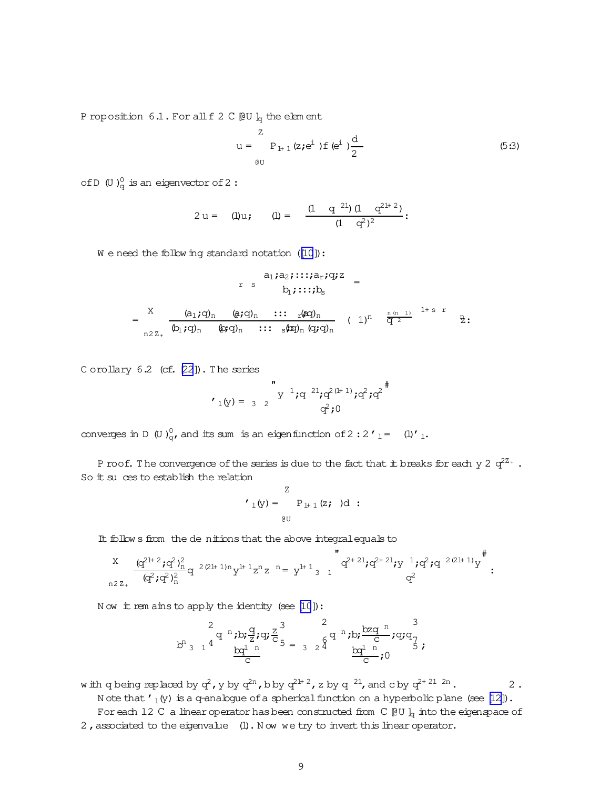P roposition  $6.1$ . For all f 2 C [@U ]<sub>q</sub> the elem ent

$$
u = \sum_{\theta U}^{Z} P_{1+1} (z; e^{i}) f (e^{i}) \frac{d}{2}
$$
 (5:3)

of D (U ) $_{\mathrm{q}}^{0}$  is an eigenvector of 2 :

$$
2 u = (1) u
$$
;  $(1) = \frac{(1 + q^{21})(1 + q^{21+2})}{(1 + q^2)^2}$ :

We need the follow ing standard notation ([\[10](#page-15-0)]):

$$
a_1 a_2 \cdots a_r a_r a_r =
$$
  

$$
b_1 \cdots b_s =
$$

= X n2Z<sup>+</sup> (a1;q)<sup>n</sup> (a2;q)<sup>n</sup> ::: <sup>r</sup>(;aq)<sup>n</sup> (b1;q)<sup>n</sup> (2b;q)<sup>n</sup> ::: <sup>s</sup>(;bq)n(q;q)<sup>n</sup> ( 1)<sup>n</sup> q n (n 1) 2 1+ s r z n:

C orollary 6.2 (cf. [\[22\]](#page-16-0)). The series

$$
\mathbf{r}_{1}(y) = \begin{bmatrix} 1 \\ 3 \end{bmatrix} \begin{bmatrix} 2 \\ 2 \end{bmatrix} \mathbf{r}_{1}^{2} \mathbf{q}^{2} \mathbf{q}^{2} \mathbf{r}_{2}^{2} \mathbf{r}_{3}^{2} \mathbf{r}_{4}^{3}
$$

converges in D (U) $_{\mathbf{q}}^{0}$ , and its sum is an eigenfunction of 2 : 2'<sub>1</sub>= (l)'<sub>1</sub>.

P roof. The convergence of the series is due to the fact that it breaks for each y 2  $\rm q^{2z_{+}}$  . So it su ces to establish the relation

$$
\boldsymbol{v}_{1}(\mathbf{y}) = \begin{array}{c} \mathbf{z} \\ \mathbf{P}_{1+1}(\mathbf{z}; \mathbf{z}) \mathbf{d} \\ \vdots \\ \mathbf{e}^{\mathbf{U}} \end{array}
$$

It follow s from the de nitions that the above integral equals to

$$
\frac{x}{\log^{2}(\mathbf{q}^{2l+2};\mathbf{q}^{2})_{n}^{2}}\mathbf{q}^{2(2l+1)n}y^{l+1}z^{n}z^{n} = y^{l+1}{}_{3} \left[ \begin{array}{cc} \mathbf{q}^{2l+2l};\mathbf{q}^{2l+2l};y^{l} \ j\mathbf{q}^{2l+1}y^{l} \end{array} \right]^{*}_{q^{2}};
$$

N ow it rem ains to apply the identity (see [\[10](#page-15-0)]):

$$
b^{n}{}_{3} 1^{4} \frac{2}{b^{n} } b^{n} \frac{q}{z} i q i \frac{z}{c}^{3} = \frac{2}{3} 2^{4} \frac{b^{n} b^{n} \frac{b z q^{n}}{c} i q^{n} q^{n}}{b^{n} } i q^{n} q^{n}
$$

with q being replaced by  $q^2$ , y by  $q^{2n}$ , b by  $q^{2l+2}$ , z by  $q^{-2l}$ , and c by  $q^{2+2l-2n}$  .  $2$  . N ote that  $\prime_1(y)$  is a q-analogue of a spherical function on a hyperbolic plane (see [\[12\]](#page-15-0)). For each 12 C a linear operator has been constructed from C  $[QU]_q$  into the eigenspace of 2, associated to the eigenvalue (l). Now we try to invert this linear operator.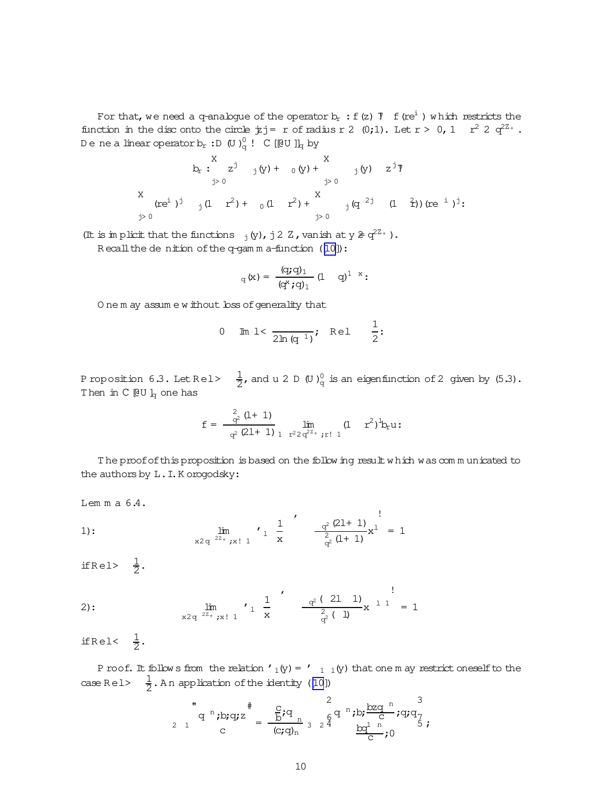For that, we need a q-analogue of the operator  $b_r : f(z)$   $\bar{f}(re^i)$  which restricts the function in the disc onto the circle  $\dot{\mathbf{z}}$  j = r of radius r 2 (0;1). Let  $r > 0$ , 1  $r^2$  2  $q^{2z_+}$ . De ne a linear operator b<sub>r</sub> :D (U ) $_{\mathrm{q}}^{0}$  !  $\mathrm{C}$  [[@U ]]<sub>q</sub> by

$$
b_{r}: \begin{array}{cccccc} X & & & & & & X \\ & & 1 & 0 & 0 & 0 \\ & & & 1 & 0 & 0 \\ & & & & 1 & 0 \\ & & & & 1 & 0 & 0 \\ & & & & 1 & 0 & 0 \\ & & & & & 1 & 0 \\ & & & & & 1 & 0 \\ & & & & & & 1 \end{array}
$$

(It is im plicit that the functions  $_j(y)$ , j2 Z, vanish at  $y \ncong q^{2Z_+}$ ).

 $R$  ecall the de nition of the q-gam m a-function ([\[10\]](#page-15-0)):

$$
_{q}\left( x\right) =\frac{\left( q;q\right) _{1}}{\left( q^{x};q\right) _{1}}\left( 1-q\right) ^{1-x};
$$

O ne m ay assum e w ithout loss of generality that

0 Im 1 
$$
\frac{1}{2\ln(q^{-1})}
$$
; Re1  $\frac{1}{2}$ :

Proposition 6.3. Let Rel> $\frac{1}{2}$ , and u 2 D (U) $_{\rm q}^{0}$  is an eigenfunction of 2 given by (5.3). Then in  $C$  [ $\theta$ U ]<sub>q</sub> one has

$$
f = \frac{\frac{2}{q^2} (l+1)}{\frac{q^2 (2l+1)}{1} \sum_{1 \space r^2 2 \space q^{22}+ \space ; \space r! \space l} (1-r^2)^{l} b_r u \colon
$$

The proof of this proposition is based on the follow ing result which was communicated to the authors by L.I.K orogodsky:

!

Lem m a 6.4.

1): 
$$
\lim_{x \to 2} \lim_{q^2 \to 2^x, x \to 1} \left( \frac{1}{x} \right)^{\frac{1}{2}} \frac{q^2 (21+1)}{q^2 (1+1)} x^1 = 1
$$

ifRel>  $\frac{1}{2}$ .

2): 
$$
\lim_{x \geq q} \lim_{2^{x} \to x! \ 1} \left( \frac{1}{x} \right)^{x} = \frac{q^{2} (21 \ 1)}{q^{2} (1)} x^{1} = 1
$$

ifRel< $\frac{1}{2}$ .

P roof. It follow s from the relation '<sub>1</sub>(y) = '<sub>1 1</sub>(y) that one m ay restrict oneself to the case Rel>  $\frac{1}{2}$ . An application of the identity ([\[10\]](#page-15-0))

$$
\int_{2}^{1} q^{n} ; b; q; z \stackrel{+}{=} \frac{\frac{c}{b} i q}{(c; q)_{n}} \left\{ \frac{q}{2} q^{n} ; b; \frac{b z q^{n}}{c} ; q; q \right\} \left\{ \frac{c}{2} q^{n} ; b; \frac{b z q^{n}}{c} ; q; q \right\}.
$$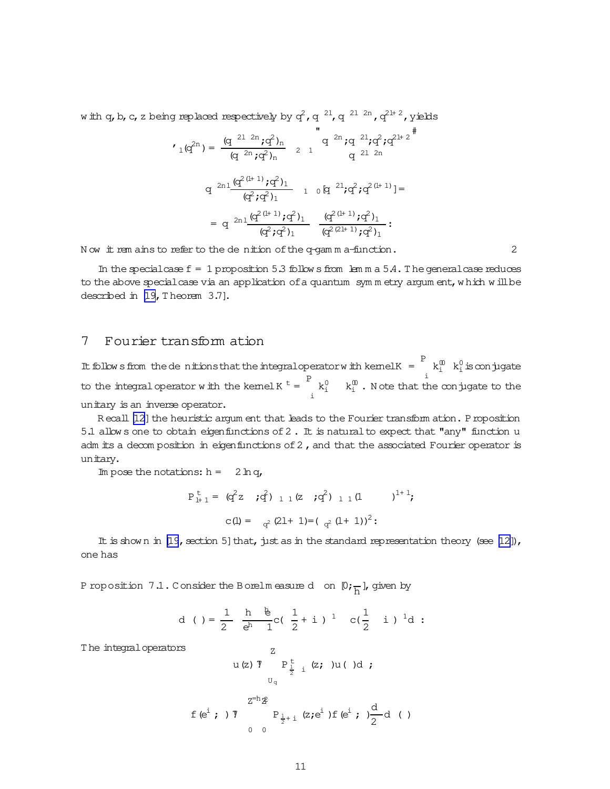w ith q, b, c, z being replaced respectively by  $\vec{q}$  ,  $\vec{q}$   $^{21}$ ,  $\vec{q}$   $^{21}$   $^{2n}$  ,  $\vec{q}^{2l+2}$  , yields

$$
\begin{aligned}\n\boldsymbol{f}_1(q^{2n}) &= \frac{(q^{-21-2n};q^2)_n}{(q^{-2n};q^2)_n} \quad \text{and} \quad q^{-2n};q^{-21};q^2;q^{21+2} \text{,} \\
&\quad q^{-2n1} \frac{(q^{2(1+1)};q^2)_1}{(q^2;q^2)_1} \quad \text{and} \quad q^{-21};q^2;q^{2(1+1)}] = \\
&= q^{-2n1} \frac{(q^{2(1+1)};q^2)_1}{(q^2;q^2)_1} \quad \frac{(q^{2(1+1)};q^2)_1}{(q^{2(21+1)};q^2)_1} \text{.}\n\end{aligned}
$$

N ow it rem ains to refer to the de nition of the q-gam m a-function. 2

In the specialcase  $f = 1$  proposition 5.3 follow s from lem m a 5.4. The general case reduces to the above special case via an application of a quantum symm etry argum ent, which will be described in [\[19,](#page-16-0) Theorem 3.7].

## 7 Fourier transform ation

It follows from the de nitions that the integral operator with kemel K =  $\frac{P}{k_i^0}$  k<sub>i</sub> is conjugate i to the integral operator with the kemel K  $t =$   $\frac{P}{T}$ i  $k_1^0$   $k_1^0$  . Note that the conjugate to the unitary is an inverse operator.

R ecall [\[12](#page-15-0)] the heuristic argum ent that leads to the Fourier transform ation. Proposition 5.1 allow s one to obtain eigenfunctions of 2. It is natural to expect that "any" function u adm its a decom position in eigenfunctions of  $2$ , and that the associated Fourier operator is unitary.

Im pose the notations:  $h = 2 \ln q$ ,

$$
P_{l+1}^{t} = (q^2 z ; q^2)_{l} (z ; q^2)_{l} (l - 1)^{l+1};
$$
  
 $c(l) = q^2 (2l+1) = (q^2 (l+1))^2;$ 

It is shown in [\[19](#page-16-0), section 5] that, just as in the standard representation theory (see [\[12\]](#page-15-0)), one has

P roposition 7.1. Consider the Borelm easure door  $[0;\frac{1}{h}],$  given by

d ( ) = 
$$
\frac{1}{2}
$$
  $\frac{h}{e^h} \frac{e}{1}c(\frac{1}{2} + i)^{-1} c(\frac{1}{2} i)^{-1}d$ :

Z

The integraloperators

$$
u(z) \nabla P_{\frac{1}{2} i}^{t} (z; )u( )d ;
$$
\n
$$
Z^{-h}Z
$$
\n
$$
f(e^{i}; ) \nabla P_{\frac{1}{2}+i} (z; e^{i}) f(e^{i}; ) \frac{d}{2} d ( )
$$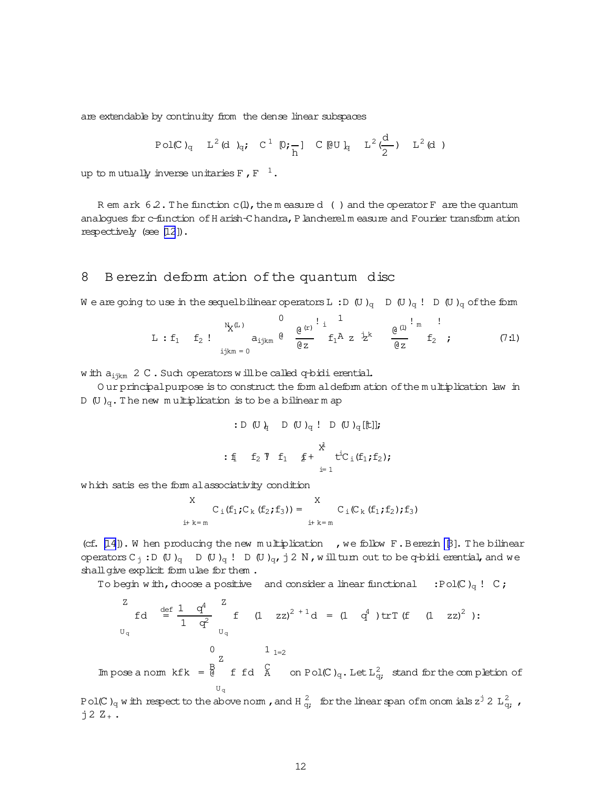are extendable by continuity from the dense linear subspaces

$$
\text{Pol}(C)_{q} \quad L^{2}(d)_{q}; \quad C^{1}(D;\frac{1}{h}) \quad C(DU)_{q} \quad L^{2}(\frac{d}{2}) \quad L^{2}(d)
$$

up to mutually inverse unitaries F , F  $\,$   $^{-1}$  .

R em ark  $6.2$ . The function c(l), the m easure d () and the operator F are the quantum analogues for c-function of H arish-C handra, P lancherelm easure and Fourier transform ation respectively (see [\[12](#page-15-0)]).

## 8 B erezin deform ation of the quantum disc

We are going to use in the sequelbilinear operators L: D  $(U)_{q}$  D  $(U)_{q}$ ! D  $(U)_{q}$  of the form

$$
L : f_1 \t f_2 : \n\begin{array}{c} N_X^{(L)} & 0 \\ \n\text{a}_{ijkm} & 0 \\ \n\text{b}_{ijkm} = 0 & N \end{array} \n\begin{array}{c} \n\frac{1}{2} \cdot \frac{1}{2} & 0 \\ \n\frac{1}{2} \cdot \frac{1}{2} & 0 \\ \n\frac{1}{2} \cdot \frac{1}{2} & N \end{array} \n\begin{array}{c} \n\frac{1}{2} \cdot \frac{1}{2} & 0 \\ \n\frac{1}{2} \cdot \frac{1}{2} & N \end{array} \n\begin{array}{c} \n\frac{1}{2} \cdot \frac{1}{2} & 0 \\ \n\frac{1}{2} \cdot \frac{1}{2} & N \end{array} \n\tag{7.1}
$$

w ith  $a_{i+km}$  2 C. Such operators w ill be called q-bidi erential.

O ur principal purpose is to construct the form aldeform ation of the multiplication law in D (U)<sub>q</sub>. The new multiplication is to be a bilinear m ap

: D (U) 
$$
_{q}
$$
 D (U)  $_{q}$  ! D (U)  $_{q}$  [[t]];  
\n:  $f_1$   $f_2$   $f_1$   $f_1$   $f_1$   $f_1$   $f_1$   $f_1$   $f_1$ 

w hich satises the form alassociativity condition

X  

$$
C_i(f_1;C_k(f_2;f_3)) = \n\begin{cases}\nX & C_i(C_k(f_1;f_2);f_3) \\
i+k=m\n\end{cases}
$$

(cf.  $[14]$ ). W hen producing the new multiplication , we follow F. Berezin [\[3](#page-15-0)]. The bilinear operators C<sub>j</sub>:D (U)<sub>q</sub> D (U)<sub>q</sub>! D (U)<sub>q</sub>,j 2 N, w illturn out to be q-bidierential, and we shall give explicit form ulae for them.

To begin w ith, choose a positive and consider a linear functional :Pol(C)<sub>q</sub> ! C;

Z U<sup>q</sup> fd def = 1 q 4 1 q<sup>2</sup> Z U<sup>q</sup> f (1 zz) <sup>2</sup> + 1d = (1 q <sup>4</sup> )trT(f (1 zz) <sup>2</sup> ): 0 Z 1 1=2

Im pose a norm  $kfk = \frac{B}{\theta}$ U<sup>q</sup> f fd  $\overline{A}$  on Pol(C)<sub>q</sub>. Let  $L^2_{q}$  stand for the completion of

Pol(C)<sub>q</sub> with respect to the above norm, and H  $\frac{2}{q}$ , for the linear span ofm onomials z<sup>j</sup> 2 L<sub>g</sub>,,  $j2Z_{+}$ .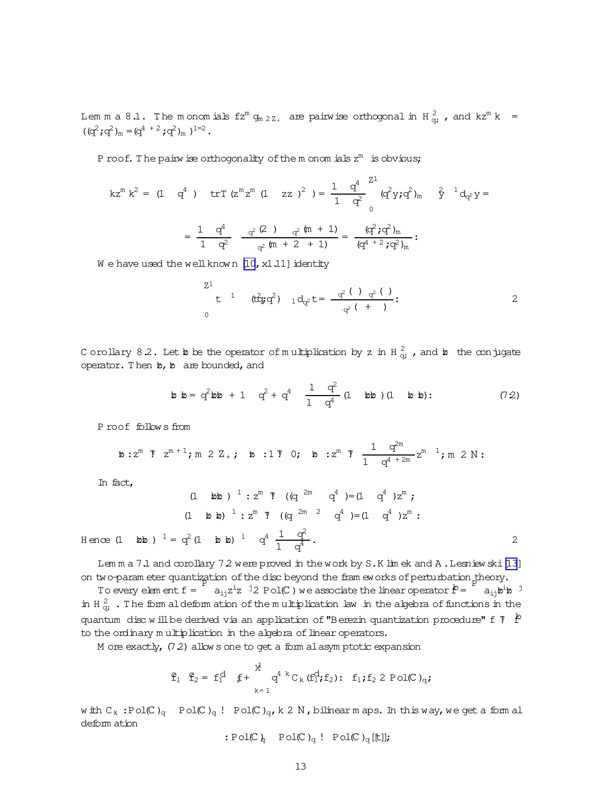Lem m a 8.1. The monomials  $fz^m$   $g_{m\; 2\; Z_{+}}$  are pairwise orthogonal in H  $^2_{\bf q}$  , and  $kz^m$  k =  $((q^2; q^2)_{m} = (q^{4+2}; q^2)_{m})^{1=2}$ .

P roof. The pairw ise orthogonality of the m onom ials  $z^m$  is obvious;

$$
kz^{m} k^{2} = (1 \t q^{4}) \t tr T (z^{m} z^{m} (1 zz)^{2}) = \frac{1}{1} \frac{q^{4}}{q^{2}} \left( q^{2} y \, ; q^{2} \right)_{m} \t \hat{y}^{-1} d_{q^{2}} y =
$$

$$
= \frac{1}{1} \frac{q^{4}}{q^{2}} \frac{q^{2} (2) \t q^{2} (m + 1)}{q^{2} (m + 2 + 1)} = \frac{(q^{2} \, ; q^{2})_{m}}{(q^{4} + 2 \, ; q^{2})_{m}} :
$$

W e have used the well known  $[10, x1.11]$  identity

$$
t^{1} \quad \text{(t\ddot{q};q^{2})} \quad 1 \, d_{q^{2}}t = \frac{q^{2} \left( \begin{array}{c} 1 \quad q^{2} \left( \begin{array}{c} 1 \end{array} \right) \\ q^{2} \left( \begin{array}{c} + \end{array} \right) \end{array} : 2
$$

C orollary 8.2. Let bo be the operator of multiplication by z in H $\frac{2}{9}$ , and bothe conjugate operator. Then  $b$ ,  $b$  are bounded, and

$$
\mathbf{b} \ \mathbf{b} = q^2 \mathbf{b} \mathbf{b} + 1 \quad q^2 + q^4 \quad \frac{1}{1} \quad \frac{q^2}{1} \quad (\mathbf{1} \quad \mathbf{b} \mathbf{b}) \quad (\mathbf{1} \quad \mathbf{b} \quad \mathbf{b}) : \tag{7.2}
$$

P roof follow s from

$$
\mathtt{b}: z^{\mathsf{m}} \ \mathtt{T} \ \ z^{\mathsf{m}+1} \texttt{;} \ \mathtt{m} \ \mathtt{2} \ \mathtt{Z}_{+} \texttt{;} \ \mathtt{b} \ \mathtt{:1} \ \mathtt{T} \ \mathtt{0}; \ \mathtt{b} \ \mathtt{:z}^{\mathsf{m}} \ \mathtt{T} \ \frac{1}{1} \ \frac{q^{2\mathsf{m}}}{q^{4+2\mathsf{m}}} z^{\mathsf{m}} \ \mathtt{1}; \ \mathtt{m} \ \mathtt{2} \ \mathtt{N} \mathtt{:}
$$

In fact,

$$
(1 \t b b)^{1} : z^{m} \t T \t (q^{2m} q^{4}) = (1 \t q^{4}) z^{m};
$$
  

$$
(1 \t b b)^{1} : z^{m} \t T \t (q^{2m} q^{4}) = (1 \t q^{4}) z^{m};
$$
  
Hence (1 \t b b)  ${}^{1} = q^{2} (1 \t b b)^{1} q^{4} \t \frac{1}{1} \frac{q^{2}}{q^{4}}.$ 

Lem m a 7.1 and corollary 7.2 were proved in the work by S.K lim ek and A. Lesniew ski [\[13](#page-15-0)] on two-param eter quantization of the disc beyond the fram eworks of perturbation theory.

 $\alpha$  o parameter quantization of the disc beyond the first terms of perturbation  $\dot{P}$  =  $\alpha_{ij}z^iz$  <sup>1</sup>2 Pol(C) we associate the linear operator  $\dot{P}$  = a<sub>ij</sub>b<sup>i</sup>b <sup>j</sup> in H $\frac{2}{9}$ . The form aldeform ation of the multiplication law in the algebra of functions in the quantum disc will be derived via an application of "Berezin quantization procedure" f  $\bar{T}$   $\dot{P}$ to the ordinary multiplication in the algebra of linear operators.

M ore exactly,  $(7.2)$  allow s one to get a form alasym ptotic expansion

$$
\begin{array}{cccc}\mathbf{f}_1 & \mathbf{f}_2 = & \mathbf{f}_1^d & \mathbf{f}_1 + & \mathbf{f}_1^d \mathbf{f}_1^d \mathbf{f}_2^d, & \mathbf{f}_1^d \mathbf{f}_2^d \mathbf{f}_1^d \mathbf{f}_2^d \mathbf{f}_2^d & \mathbf{f}_2^d \mathbf{f}_2^d \mathbf{f}_3^d\mathbf{f}_3^d\mathbf{f}_4^d\mathbf{f}_5^d\mathbf{f}_4^d\mathbf{f}_5^d\mathbf{f}_6^d\mathbf{f}_7^d\mathbf{f}_8^d\mathbf{f}_9^d\mathbf{f}_9^d\mathbf{f}_9^d\mathbf{f}_9^d\mathbf{f}_9^d\mathbf{f}_9^d\mathbf{f}_9^d\mathbf{f}_9^d\mathbf{f}_9^d\mathbf{f}_9^d\mathbf{f}_9^d\mathbf{f}_9^d\mathbf{f}_9^d\mathbf{f}_9^d\mathbf{f}_9^d\mathbf{f}_9^d\mathbf{f}_9^d\mathbf{f}_9^d\mathbf{f}_9^d\mathbf{f}_9^d\mathbf{f}_9^d\mathbf{f}_9^d\mathbf{f}_9^d\mathbf{f}_9^d\mathbf{f}_9^d\mathbf{f}_9^d\mathbf{f}_9^d\mathbf{f}_9^d\mathbf{f}_9^d\mathbf{f}_9^d\mathbf{f}_9^d\mathbf{f}_9^d\mathbf{f}_9^d\mathbf{f}_9^d\mathbf{f}_9^d\mathbf{f}_9^d\mathbf{f}_9^d\mathbf{f}_9^d\mathbf{f}_9^d\mathbf{f}_9^d\mathbf{f}_9^d\mathbf{f}_9^d\mathbf{f}_9^d\mathbf{f}_9^d\mathbf{f}_9^d\mathbf{f}_9^d\mathbf{f}_9^d\mathbf{f}_9^d\mathbf{f}_9^d\mathbf{f}_9^d\mathbf{f}_9^d\mathbf{f}_9^d\mathbf{f}_9^d\mathbf{f}_9^d\mathbf{f}_9^d\mathbf{f}_9^d\mathbf{f}_9^d\mathbf{f}_9^d\mathbf{f}_9^d\mathbf{f}_9^d\mathbf{
$$

w ith  $C_k$ :Pol(C)<sub>q</sub> Pol(C)<sub>q</sub>! Pol(C)<sub>q</sub>,k 2 N,bilinearm aps. In this way, we get a form al deform ation

: Pol(C)<sub>q</sub> Pol(C)<sub>q</sub> ! Pol(C)<sub>q</sub>[[t]];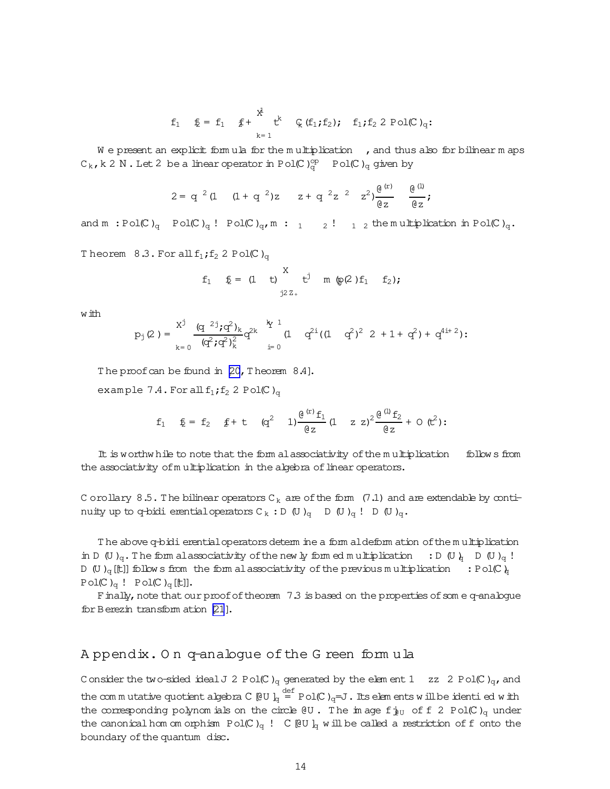$$
f_1 \quad \ \ \xi = \ f_1 \quad \ \ \xi^+ \quad \ \ \xi^k \quad \ \ \zeta \ (f_1;f_2); \quad \ \ f_1;f_2 \ 2 \ {\rm Pol}(C)_q \colon \ \ \,
$$

We present an explicit form ula for the multiplication  $\,$ , and thus also for bilinear m aps  $C_k$ , k 2 N . Let 2 be a linear operator in Pol(C) $_{\rm q}^{\rm op}$  Pol(C)<sub>q</sub> given by

$$
2 = q^{2} (1 + q^{2})z - z + q^{2}z^{2} - z^{2}) \frac{e^{(r)}}{e^{2}} - \frac{e^{(1)}}{e^{2}};
$$

and  $m : Pol(C)_{q}$  Pol $(C)_{q}$ ! Pol $(C)_{q}$ ,  $m : 1 \t 2! 1 2$  the multiplication in Pol $(C)_{q}$ .

Theorem  $8.3.$  For all  $f_1$ ;  $f_2$  2 Pol(C)<sub>q</sub>

$$
f_1
$$
  $f_2$  = (1 t)  $\int_{j2Z_+}^{X} t^j$  m (p(2) f<sub>1</sub> f<sub>2</sub>);

with

$$
p_j(2) = \sum_{k=0}^{X^j} \frac{(q^{2j} \mathbf{i} q^2)_k}{(q^2 \mathbf{i} q^2)_k^2} q^{2k} \bigg|_{{\underline{i}}=0}^{k} (1 \quad q^{2i} ((1 \quad q^2)^2 \quad 2 + 1 + q^2) + q^{4i+2});
$$

The proof can be found in  $[20, 7]$  heorem  $8.4$ ].

example 7.4. For all  $f_1$ ;  $f_2$  2 Pol(C)<sub>q</sub>

$$
f_1 \t f_2 = f_2 \t f + t \t (q^2 \t 1) \frac{e^{(x)} f_1}{\theta z} (1 \t z z)^2 \frac{e^{(1)} f_2}{\theta z} + 0 (t^2);
$$

It is worthw hile to note that the form alassociativity ofthe m ultiplication follow s from the associativity of multiplication in the algebra of linear operators.

C orollary 8.5. The bilinear operators  $C_k$  are of the form (7.1) and are extendable by continuity up to q-bidi erential operators  $C_k : D(U)_q$  D  $(U)_q : D(U)_q$ .

The above q-bidi erential operators determ ine a form aldeform ation of the multiplication in D (U )<sub>q</sub>. The form alassociativity of the new ly form ed m ultiplication : D (U )<sub>q</sub> D (U )<sub>q</sub> ! D (U)<sub>q</sub>[t]]follow s from the form al associativity of the previous multiplication : Pol(C)<sub>q</sub>  $Pol(C)_q$  !  $Pol(C)_q$  [t]].

F inally, note that our proof of theorem  $7.3$  is based on the properties of som e q-analogue for Berezin transform ation [\[21](#page-16-0)].

#### A ppendix. O n q-analogue ofthe G reen form ula

C onsider the two-sided ideal J 2 Pol(C)<sub>q</sub> generated by the elem ent 1 zz 2 Pol(C)<sub>q</sub>, and the commutative quotient algebra C [@U ] $_{\mathrm{q}}$   $\stackrel{\text{def}}{=}$  Pol(C ) $_{\mathrm{q}}$ =J . Its elem ents w illbe identi ed w ith the corresponding polynom ials on the circle  $QU$ . The im age f $j_{U}$  of f 2 Pol(C)<sub>q</sub> under the canonical hom om orphism Pol(C)<sub>q</sub> ! C[@U]<sub>q</sub> w ill be called a restriction of f onto the boundary of the quantum disc.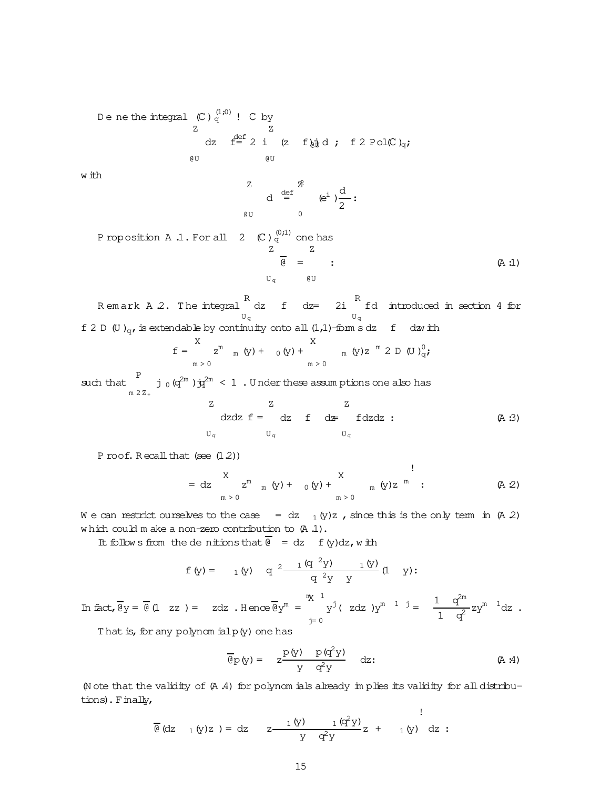Dene the integral  $\,$  (C )  $_{\rm q}^{\rm (1;0)}$  ! C by Z @U dz  $f = 2$  i Z @U (z f $\psi$ d; f 2 Pol(C)<sub>q</sub>; w ith Z @U  $d =$  $\operatorname{\mathbb{Z}}$ 0  $(e^i)$ <sup>d</sup>  $\frac{a}{2}$ : Proposition A .1. For all  $(2 - \mathbb{C})\frac{^{(0,1)}}{q}$  one has Z U<sub>q</sub> @U  $\overline{6}$  = Z  $(A:1)$ R<br>Remark A.2. The integral U<sup>q</sup>  $dz$  f  $dz = 2i$  <sup>R</sup> U<sup>q</sup> fd introduced in section 4 for f 2 D (U)<sub>q</sub>, is extendable by continuity onto all (1,1)-form sdz f dzw ith  $f =$ X m > 0  $z^{m}$  <sub>m</sub> (y) + <sub>0</sub> (y) + X  $m > 0$ m (y)z  $^m$  2 D (U) $_{q}^{0}$ ; such that P m 2Z<sup>+</sup> j  $_0$  (q<sup>2m</sup> ) $\dot{q}$ <sup>2m</sup> < 1 . Under these assumptions one also has Z  $U_q$   $U_q$ dzdz  $f =$  dz  $f = d\mathbf{z}$  fdzdz : (A :3) za za zapostani za za Z  $U_q$ 

P roof. Recall that  $(see (1.2))$ 

$$
= dz \sum_{m>0}^{X} z^{m} {}_{m} (y) + {}_{0} (y) + \sum_{m>0}^{X} {}_{m} (y) z^{m} ; \qquad (A 2)
$$

We can restrict ourselves to the case = dz  $_1(y)z$ , since this is the only term in (A 2) w hich could m ake a non-zero contribution to (A .1).

It follow s from the denitions that  $\overline{e}$  = dz f(y)dz, with

$$
f(y) =
$$
 1 (y) q  $2 \frac{1 (q^2 y)}{q^2 y} \frac{1 (y)}{y}$  (1 y):

In fact, 
$$
\overline{\Theta}y = \overline{\Theta}(1 \text{ zz}) = zdz
$$
. Hence  $\overline{\Theta}y^m = \begin{cases} \frac{mx}{y} & \text{if } x \leq 1 \\ y^j & (zdz) \leq y^{m-1} \end{cases} = \frac{1}{1} \frac{q^{2m}}{q^2} z y^{m-1} dz$ .

That is, for any polynom ialp(y) one has

$$
\overline{\mathfrak{G}}\mathfrak{p}(\mathbf{y}) = z \frac{\mathfrak{p}(\mathbf{y}) \quad \mathfrak{p}(\mathbf{q}^2 \mathbf{y})}{\mathbf{y} \quad \mathbf{q}^2 \mathbf{y}} \quad dz.
$$
 (A.4)

(N ote that the validity of(A .4) for polynom ials already im plies its validity for alldistributions). Finally,

$$
\overline{\mathfrak{E}} \; (dz_1(y)z) = dz_2 \; z \; \frac{1(y)}{y} \; \frac{1}{q^2y} z + 1(y) \; dz :
$$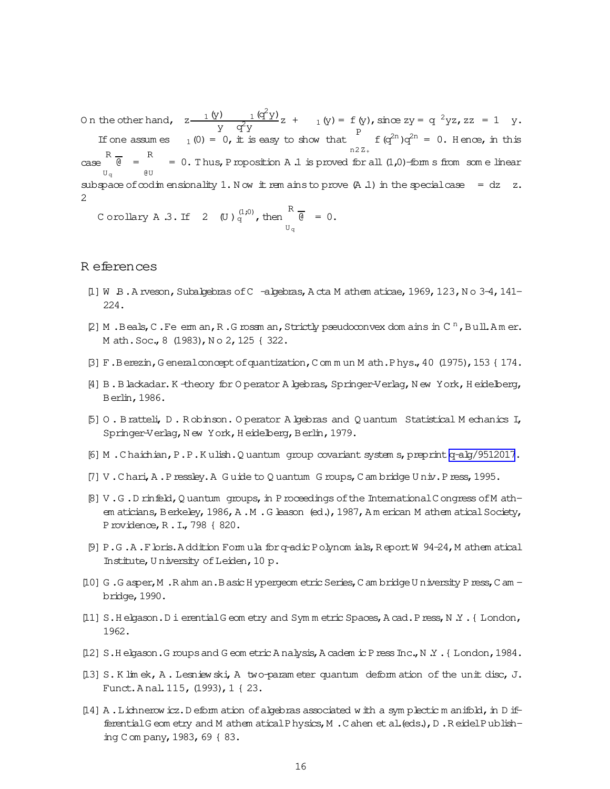<span id="page-15-0"></span>On the other hand,  $z \frac{1(\hat{y})}{z^2 + 2}$  $\frac{1}{y} \frac{q^2y}{q^2y}$  +  $1(y) = f(y)$ , since  $zy = q^2yz$ ,  $zz = 1$  y. If one assumes  $\begin{array}{c} Y & 4Y \\ 1(0) = 0, \text{ it is easy to show that} \end{array}$  P n2Z<sup>+</sup>  $f(q^{2n})q^{2n} = 0$ . Hence, in this  $\begin{array}{ccc} & R - R \\ & \end{array}$  = R U<sup>q</sup> @U  $= 0$ . Thus, Proposition A .1 is proved for all  $(1,0)$ -form s from som e linear subspace of codim ensionality 1. N ow it rem ains to prove  $(A, 1)$  in the special case = dz z. 2

Corollary A .3. If  $2$  (U)  $_q^{(1;0)}$  , then R U<sup>q</sup>  $\overline{\Theta} = 0.$ 

#### R eferences

- $[1]$  W  $B$ . A rveson, Subalgebras of C -algebras, A cta M athem aticae, 1969, 123, N o 3-4, 141-224.
- [2] M. Beals, C. Feerm an, R. G rossm an, Strictly pseudoconvex dom ains in C<sup>n</sup>, Bull.Amer. M ath. Soc., 8 (1983), No 2, 125 { 322.
- [3] F.Berezin,G eneralconceptofquantization,C om m un M ath.Phys.,40 (1975),153 { 174.
- [4] B.Blackadar.K -theory for O perator A lgebras, Springer-Verlag, N ew York, H eidelberg, Berlin,1986.
- [5] O . Bratteli, D . R obinson. O perator A lgebras and Q uantum Statistical M echanics I, Springer-Verlag, N ew York, H eidelberg, Berlin, 1979.
- [6] M .C haichian,P.P.K ulish.Q uantum group covariant system s,preprint[q-alg/9512017](http://arxiv.org/abs/q-alg/9512017).
- [7] V .C hari,A .Pressley.A G uide to Q uantum G roups,C am bridge U niv.Press,1995.
- [8] V.G.D rinfeld, Q uantum groups, in P roceedings of the International C ongress of M athem aticians, Berkeley, 1986, A .M . G leason (ed.), 1987, Am erican M athem atical Society, Providence,R .I.,798 { 820.
- [9] P.G .A .Floris.A ddition Form ula forq-adic Polynom ials,R eportW 94-24,M athem atical Institute, University of Leiden, 10 p.
- [10] G .G asper,M .R ahm an.BasicH ypergeom etricSeries,C am bridgeU niversity Press,C am bridge,1990.
- [11] S.H elgason.D i erential G eom etry and Symm etric Spaces, A cad.Press, N .Y . { London, 1962.
- [12] S.H elgason.G roups and G eom etric A nalysis, A cadem ic P ress Inc., N .Y . { London, 1984.
- [13] S.K lim ek, A . Lesniew ski,A two-param eter quantum deform ation of the unit disc, J. Funct.A nal.115,(1993),1 { 23.
- [14] A . Lichnerow icz. D eform ation of algebras associated with a symplectic m anifold, in D ifferentialG eom etry and M athem aticalPhysics,M .C ahen etal.(eds.),D .R eidelPublishing C om pany,1983,69 { 83.